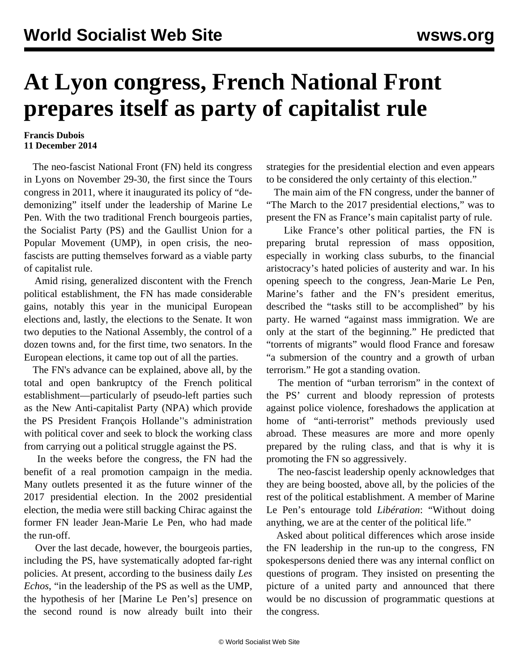## **At Lyon congress, French National Front prepares itself as party of capitalist rule**

## **Francis Dubois 11 December 2014**

 The neo-fascist National Front (FN) held its congress in Lyons on November 29-30, the first since the Tours congress in 2011, where it inaugurated its policy of "dedemonizing" itself under the leadership of Marine Le Pen. With the two traditional French bourgeois parties, the Socialist Party (PS) and the Gaullist Union for a Popular Movement (UMP), in open crisis, the neofascists are putting themselves forward as a viable party of capitalist rule.

 Amid rising, generalized discontent with the French political establishment, the FN has made considerable gains, notably this year in the municipal European elections and, lastly, the elections to the Senate. It won two deputies to the National Assembly, the control of a dozen towns and, for the first time, two senators. In the European elections, it came top out of all the parties.

 The FN's advance can be explained, above all, by the total and open bankruptcy of the French political establishment—particularly of pseudo-left parties such as the New Anti-capitalist Party (NPA) which provide the PS President François Hollande''s administration with political cover and seek to block the working class from carrying out a political struggle against the PS.

 In the weeks before the congress, the FN had the benefit of a real promotion campaign in the media. Many outlets presented it as the future winner of the 2017 presidential election. In the 2002 presidential election, the media were still backing Chirac against the former FN leader Jean-Marie Le Pen, who had made the run-off.

 Over the last decade, however, the bourgeois parties, including the PS, have systematically adopted far-right policies. At present, according to the business daily *Les Echos*, "in the leadership of the PS as well as the UMP, the hypothesis of her [Marine Le Pen's] presence on the second round is now already built into their strategies for the presidential election and even appears to be considered the only certainty of this election."

 The main aim of the FN congress, under the banner of "The March to the 2017 presidential elections," was to present the FN as France's main capitalist party of rule.

 Like France's other political parties, the FN is preparing brutal repression of mass opposition, especially in working class suburbs, to the financial aristocracy's hated policies of austerity and war. In his opening speech to the congress, Jean-Marie Le Pen, Marine's father and the FN's president emeritus, described the "tasks still to be accomplished" by his party. He warned "against mass immigration. We are only at the start of the beginning." He predicted that "torrents of migrants" would flood France and foresaw "a submersion of the country and a growth of urban terrorism." He got a standing ovation.

 The mention of "urban terrorism" in the context of the PS' current and bloody repression of protests against police violence, foreshadows the application at home of "anti-terrorist" methods previously used abroad. These measures are more and more openly prepared by the ruling class, and that is why it is promoting the FN so aggressively.

 The neo-fascist leadership openly acknowledges that they are being boosted, above all, by the policies of the rest of the political establishment. A member of Marine Le Pen's entourage told *Libération*: "Without doing anything, we are at the center of the political life."

 Asked about political differences which arose inside the FN leadership in the run-up to the congress, FN spokespersons denied there was any internal conflict on questions of program. They insisted on presenting the picture of a united party and announced that there would be no discussion of programmatic questions at the congress.